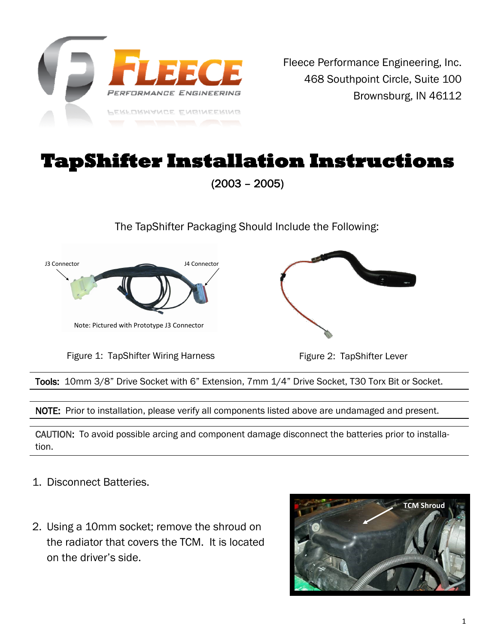

## **TapShifter Installation Instructions**

(2003 – 2005)

The TapShifter Packaging Should Include the Following:



Figure 1: TapShifter Wiring Harness

Figure 2: TapShifter Lever

Tools: 10mm 3/8" Drive Socket with 6" Extension, 7mm 1/4" Drive Socket, T30 Torx Bit or Socket.

NOTE: Prior to installation, please verify all components listed above are undamaged and present.

CAUTION: To avoid possible arcing and component damage disconnect the batteries prior to installation.

- 1. Disconnect Batteries.
- 2. Using a 10mm socket; remove the shroud on the radiator that covers the TCM. It is located on the driver's side.

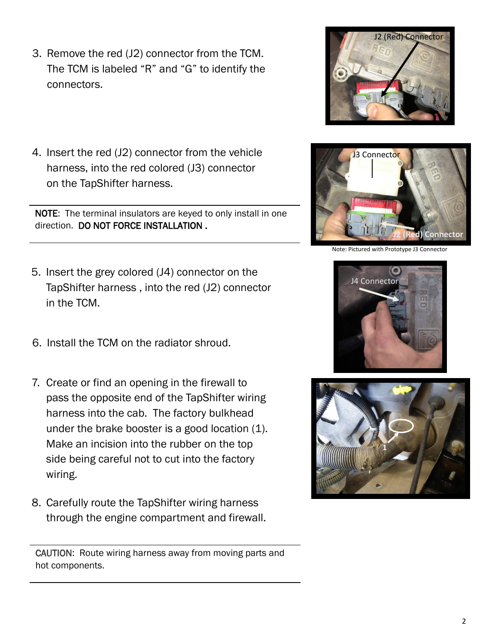- 3. Remove the red (J2) connector from the TCM. The TCM is labeled "R" and "G" to identify the connectors.
- 4. Insert the red (J2) connector from the vehicle harness, into the red colored (J3) connector on the TapShifter harness.

NOTE: The terminal insulators are keyed to only install in one direction. DO NOT FORCE INSTALLATION .

- 5. Insert the grey colored (J4) connector on the TapShifter harness , into the red (J2) connector in the TCM.
- 6. Install the TCM on the radiator shroud.
- 7. Create or find an opening in the firewall to pass the opposite end of the TapShifter wiring harness into the cab. The factory bulkhead under the brake booster is a good location (1). Make an incision into the rubber on the top side being careful not to cut into the factory wiring.
- 8. Carefully route the TapShifter wiring harness through the engine compartment and firewall.

CAUTION: Route wiring harness away from moving parts and hot components.





J2 (Red) Connector



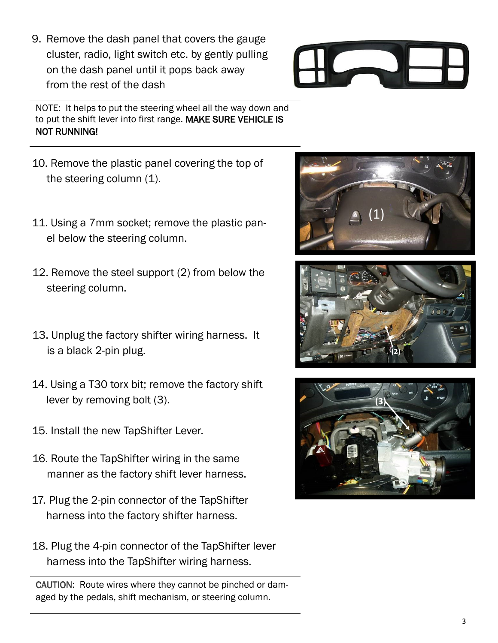3

- 9. Remove the dash panel that covers the gauge cluster, radio, light switch etc. by gently pulling on the dash panel until it pops back away from the rest of the dash
- NOTE: It helps to put the steering wheel all the way down and to put the shift lever into first range. MAKE SURE VEHICLE IS NOT RUNNING!
- 10. Remove the plastic panel covering the top of the steering column (1).
- 11. Using a 7mm socket; remove the plastic panel below the steering column.
- 12. Remove the steel support (2) from below the steering column.
- 13. Unplug the factory shifter wiring harness. It is a black 2-pin plug.
- 14. Using a T30 torx bit; remove the factory shift lever by removing bolt (3).
- 15. Install the new TapShifter Lever.
- 16. Route the TapShifter wiring in the same manner as the factory shift lever harness.
- 17. Plug the 2-pin connector of the TapShifter harness into the factory shifter harness.
- 18. Plug the 4-pin connector of the TapShifter lever harness into the TapShifter wiring harness.

CAUTION: Route wires where they cannot be pinched or damaged by the pedals, shift mechanism, or steering column.